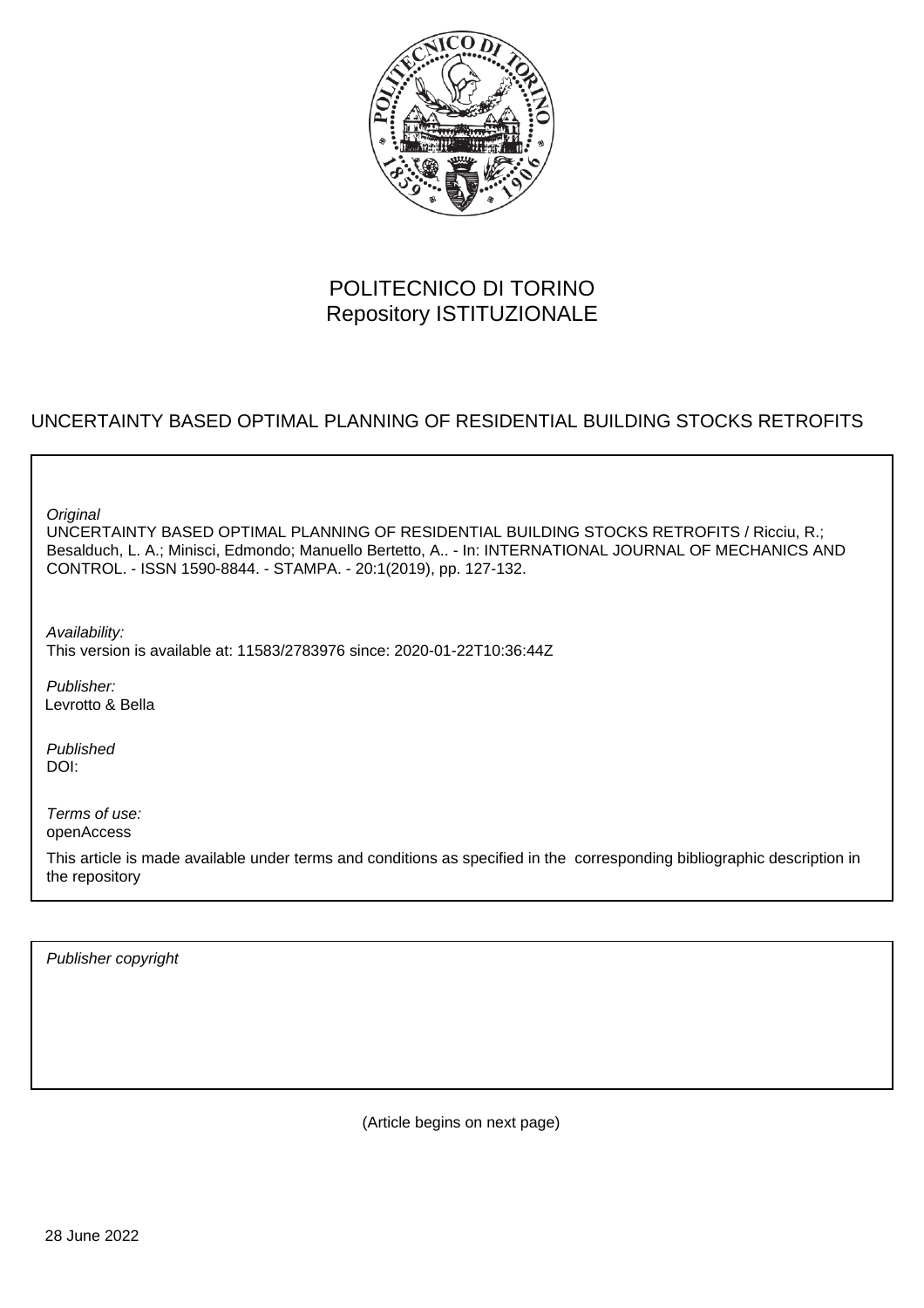

# POLITECNICO DI TORINO Repository ISTITUZIONALE

# UNCERTAINTY BASED OPTIMAL PLANNING OF RESIDENTIAL BUILDING STOCKS RETROFITS

**Original** 

UNCERTAINTY BASED OPTIMAL PLANNING OF RESIDENTIAL BUILDING STOCKS RETROFITS / Ricciu, R.; Besalduch, L. A.; Minisci, Edmondo; Manuello Bertetto, A.. - In: INTERNATIONAL JOURNAL OF MECHANICS AND CONTROL. - ISSN 1590-8844. - STAMPA. - 20:1(2019), pp. 127-132.

Availability: This version is available at: 11583/2783976 since: 2020-01-22T10:36:44Z

Publisher: Levrotto & Bella

Published DOI:

Terms of use: openAccess

This article is made available under terms and conditions as specified in the corresponding bibliographic description in the repository

Publisher copyright

(Article begins on next page)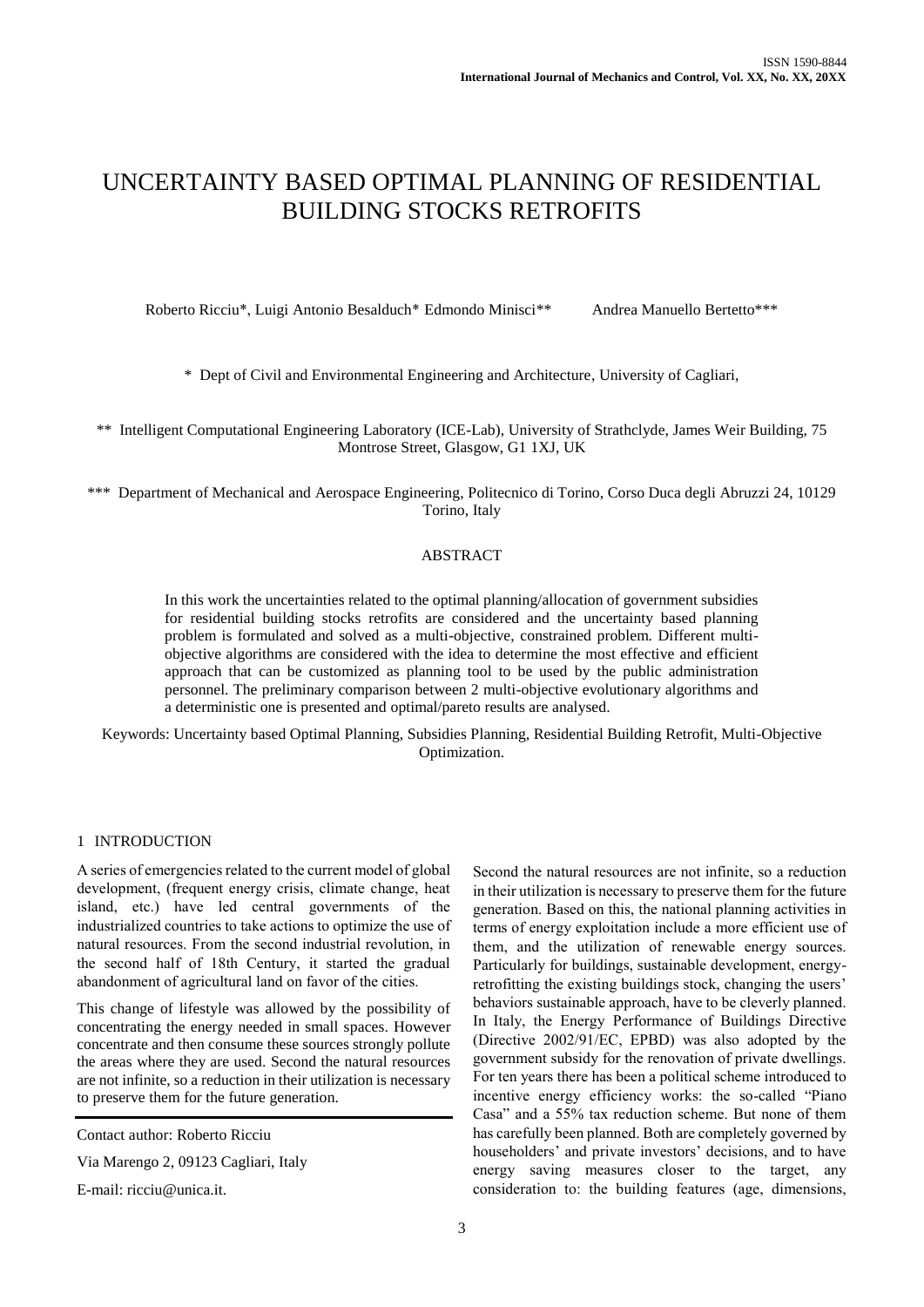# UNCERTAINTY BASED OPTIMAL PLANNING OF RESIDENTIAL BUILDING STOCKS RETROFITS

Roberto Ricciu\*, Luigi Antonio Besalduch\* Edmondo Minisci\*\* Andrea Manuello Bertetto\*\*\*

\* Dept of Civil and Environmental Engineering and Architecture, University of Cagliari,

\*\* Intelligent Computational Engineering Laboratory (ICE-Lab), University of Strathclyde, James Weir Building, 75 Montrose Street, Glasgow, G1 1XJ, UK

\*\*\* Department of Mechanical and Aerospace Engineering, Politecnico di Torino, Corso Duca degli Abruzzi 24, 10129 Torino, Italy

# ABSTRACT

In this work the uncertainties related to the optimal planning/allocation of government subsidies for residential building stocks retrofits are considered and the uncertainty based planning problem is formulated and solved as a multi-objective, constrained problem. Different multiobjective algorithms are considered with the idea to determine the most effective and efficient approach that can be customized as planning tool to be used by the public administration personnel. The preliminary comparison between 2 multi-objective evolutionary algorithms and a deterministic one is presented and optimal/pareto results are analysed.

Keywords: Uncertainty based Optimal Planning, Subsidies Planning, Residential Building Retrofit, Multi-Objective Optimization.

# 1 INTRODUCTION

A series of emergencies related to the current model of global development, (frequent energy crisis, climate change, heat island, etc.) have led central governments of the industrialized countries to take actions to optimize the use of natural resources. From the second industrial revolution, in the second half of 18th Century, it started the gradual abandonment of agricultural land on favor of the cities.

This change of lifestyle was allowed by the possibility of concentrating the energy needed in small spaces. However concentrate and then consume these sources strongly pollute the areas where they are used. Second the natural resources are not infinite, so a reduction in their utilization is necessary to preserve them for the future generation.

Via Marengo 2, 09123 Cagliari, Italy

E-mail: ricciu@unica.it.

Second the natural resources are not infinite, so a reduction in their utilization is necessary to preserve them for the future generation. Based on this, the national planning activities in terms of energy exploitation include a more efficient use of them, and the utilization of renewable energy sources. Particularly for buildings, sustainable development, energyretrofitting the existing buildings stock, changing the users' behaviors sustainable approach, have to be cleverly planned. In Italy, the Energy Performance of Buildings Directive (Directive 2002/91/EC, EPBD) was also adopted by the government subsidy for the renovation of private dwellings. For ten years there has been a political scheme introduced to incentive energy efficiency works: the so-called "Piano Casa" and a 55% tax reduction scheme. But none of them has carefully been planned. Both are completely governed by householders' and private investors' decisions, and to have energy saving measures closer to the target, any consideration to: the building features (age, dimensions,

Contact author: Roberto Ricciu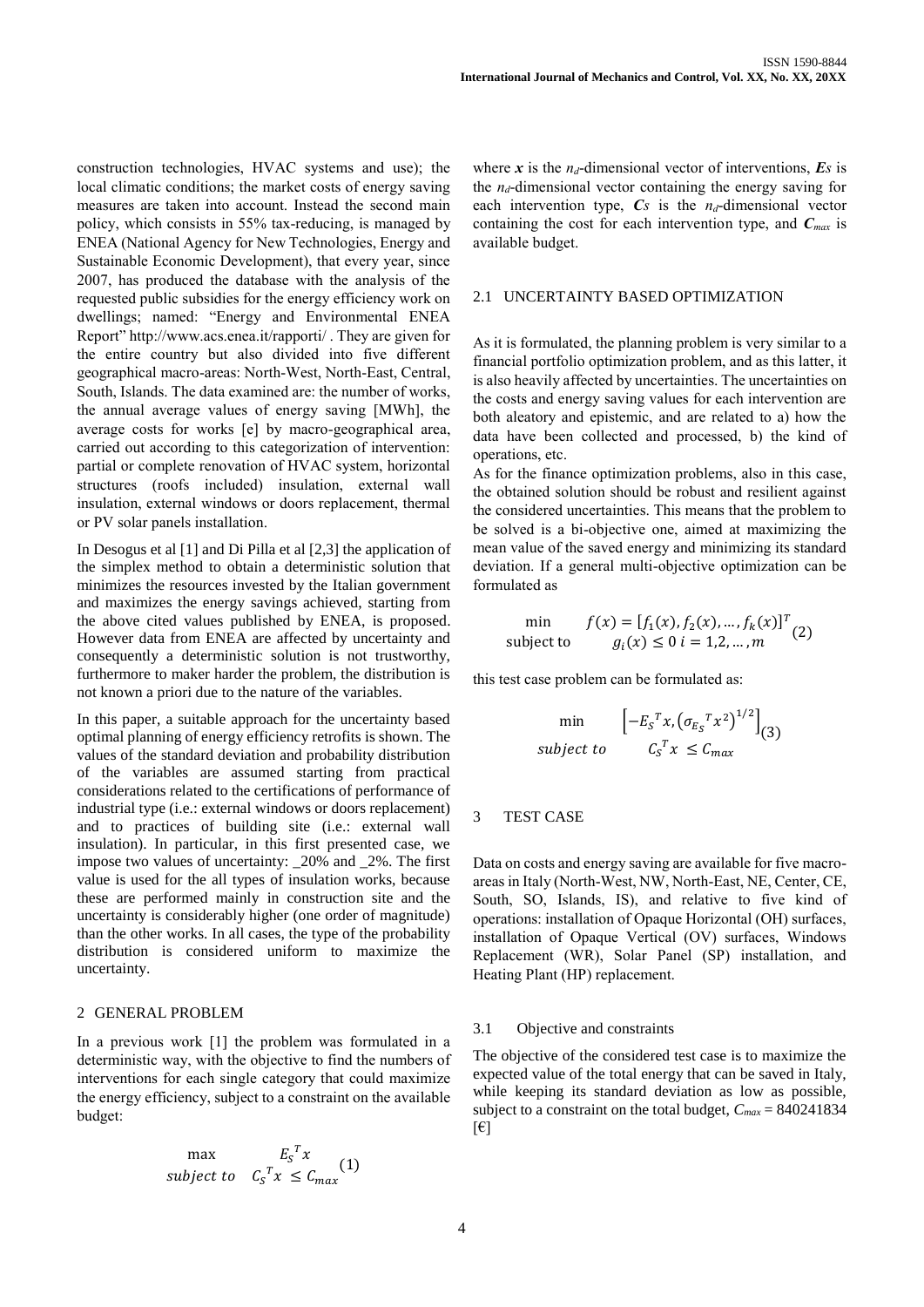construction technologies, HVAC systems and use); the local climatic conditions; the market costs of energy saving measures are taken into account. Instead the second main policy, which consists in 55% tax-reducing, is managed by ENEA (National Agency for New Technologies, Energy and Sustainable Economic Development), that every year, since 2007, has produced the database with the analysis of the requested public subsidies for the energy efficiency work on dwellings; named: "Energy and Environmental ENEA Report" http://www.acs.enea.it/rapporti/ . They are given for the entire country but also divided into five different geographical macro-areas: North-West, North-East, Central, South, Islands. The data examined are: the number of works, the annual average values of energy saving [MWh], the average costs for works [e] by macro-geographical area, carried out according to this categorization of intervention: partial or complete renovation of HVAC system, horizontal structures (roofs included) insulation, external wall insulation, external windows or doors replacement, thermal or PV solar panels installation.

In Desogus et al [1] and Di Pilla et al [2,3] the application of the simplex method to obtain a deterministic solution that minimizes the resources invested by the Italian government and maximizes the energy savings achieved, starting from the above cited values published by ENEA, is proposed. However data from ENEA are affected by uncertainty and consequently a deterministic solution is not trustworthy, furthermore to maker harder the problem, the distribution is not known a priori due to the nature of the variables.

In this paper, a suitable approach for the uncertainty based optimal planning of energy efficiency retrofits is shown. The values of the standard deviation and probability distribution of the variables are assumed starting from practical considerations related to the certifications of performance of industrial type (i.e.: external windows or doors replacement) and to practices of building site (i.e.: external wall insulation). In particular, in this first presented case, we impose two values of uncertainty: \_20% and \_2%. The first value is used for the all types of insulation works, because these are performed mainly in construction site and the uncertainty is considerably higher (one order of magnitude) than the other works. In all cases, the type of the probability distribution is considered uniform to maximize the uncertainty.

# 2 GENERAL PROBLEM

In a previous work [1] the problem was formulated in a deterministic way, with the objective to find the numbers of interventions for each single category that could maximize the energy efficiency, subject to a constraint on the available budget:

$$
\max \qquad \qquad E_{S}^{T} x \qquad (1)
$$
\n
$$
subject \qquad C_{S}^{T} x \leq C_{max}
$$

where  $\boldsymbol{x}$  is the  $n_d$ -dimensional vector of interventions,  $\boldsymbol{E}$ *s* is the  $n_d$ -dimensional vector containing the energy saving for each intervention type, *Cs* is the *nd*-dimensional vector containing the cost for each intervention type, and *Cmax* is available budget.

#### 2.1 UNCERTAINTY BASED OPTIMIZATION

As it is formulated, the planning problem is very similar to a financial portfolio optimization problem, and as this latter, it is also heavily affected by uncertainties. The uncertainties on the costs and energy saving values for each intervention are both aleatory and epistemic, and are related to a) how the data have been collected and processed, b) the kind of operations, etc.

As for the finance optimization problems, also in this case, the obtained solution should be robust and resilient against the considered uncertainties. This means that the problem to be solved is a bi-objective one, aimed at maximizing the mean value of the saved energy and minimizing its standard deviation. If a general multi-objective optimization can be formulated as

min 
$$
f(x) = [f_1(x), f_2(x), ..., f_k(x)]^T
$$
  
subject to  $g_i(x) \le 0 \ i = 1, 2, ..., m$  (2)

this test case problem can be formulated as:

$$
\begin{array}{ll}\n\text{min} & \left[ -E_S^T x, \left( \sigma_{E_S}^T x^2 \right)^{1/2} \right]_{(3)} \\
\text{subject to} & C_S^T x \leq C_{\text{max}}\n\end{array}
$$

# 3 TEST CASE

Data on costs and energy saving are available for five macroareas in Italy (North-West, NW, North-East, NE, Center, CE, South, SO, Islands, IS), and relative to five kind of operations: installation of Opaque Horizontal (OH) surfaces, installation of Opaque Vertical (OV) surfaces, Windows Replacement (WR), Solar Panel (SP) installation, and Heating Plant (HP) replacement.

#### 3.1 Objective and constraints

The objective of the considered test case is to maximize the expected value of the total energy that can be saved in Italy, while keeping its standard deviation as low as possible, subject to a constraint on the total budget, *Cmax* = 840241834  $[\epsilon]$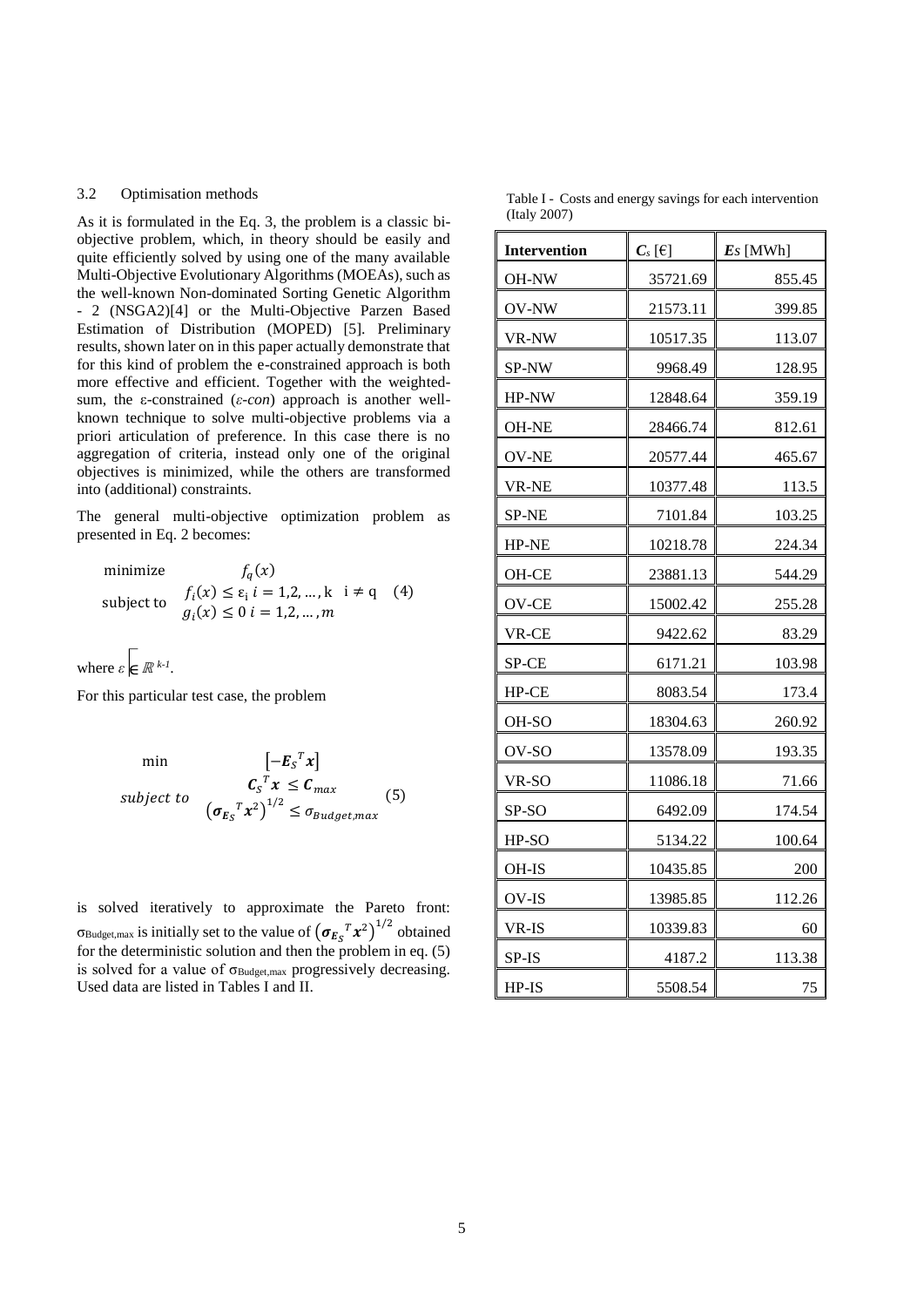#### 3.2 Optimisation methods

As it is formulated in the Eq. 3, the problem is a classic biobjective problem, which, in theory should be easily and quite efficiently solved by using one of the many available Multi-Objective Evolutionary Algorithms (MOEAs), such as the well-known Non-dominated Sorting Genetic Algorithm 2 (NSGA2)[4] or the Multi-Objective Parzen Based Estimation of Distribution (MOPED) [5]. Preliminary results, shown later on in this paper actually demonstrate that for this kind of problem the e-constrained approach is both more effective and efficient. Together with the weightedsum, the ε-constrained (*ε-con*) approach is another wellknown technique to solve multi-objective problems via a priori articulation of preference. In this case there is no aggregation of criteria, instead only one of the original objectives is minimized, while the others are transformed into (additional) constraints.

The general multi-objective optimization problem as presented in Eq. 2 becomes:

minimize 
$$
f_q(x)
$$
  
\nsubject to  $f_i(x) \le \varepsilon_i$   $i = 1, 2, ..., k$   $i \ne q$  (4)  
\n $g_i(x) \le 0$   $i = 1, 2, ..., m$ 

where  $\varepsilon \in \mathbb{R}^{k-l}$ .

For this particular test case, the problem

min 
$$
[-E_S^T x]
$$
  
\nsubject to  $C_S^T x \leq C_{max}$  (5)  
\n $(\sigma_{E_S}^T x^2)^{1/2} \leq \sigma_{Budget,max}$ 

is solved iteratively to approximate the Pareto front: σ<sub>Budget, max</sub> is initially set to the value of  $(\sigma_{E_S}{}^T x^2)^{1/2}$  obtained for the deterministic solution and then the problem in eq. (5) is solved for a value of  $\sigma_{\text{Budget,max}}$  progressively decreasing. Used data are listed in Tables I and II.

Table I - Costs and energy savings for each intervention (Italy 2007)

| <b>Intervention</b> | $C_s[\![\in]\!]$ | $Es$ [MWh] |  |  |
|---------------------|------------------|------------|--|--|
| OH-NW               | 35721.69         | 855.45     |  |  |
| OV-NW               | 21573.11         | 399.85     |  |  |
| VR-NW               | 10517.35         | 113.07     |  |  |
| SP-NW               | 9968.49          | 128.95     |  |  |
| HP-NW               | 12848.64         | 359.19     |  |  |
| <b>OH-NE</b>        | 28466.74         | 812.61     |  |  |
| <b>OV-NE</b>        | 20577.44         | 465.67     |  |  |
| VR-NE               | 10377.48         | 113.5      |  |  |
| SP-NE               | 7101.84          | 103.25     |  |  |
| HP-NE               | 10218.78         | 224.34     |  |  |
| OH-CE               | 23881.13         | 544.29     |  |  |
| OV-CE               | 15002.42         | 255.28     |  |  |
| VR-CE               | 9422.62          | 83.29      |  |  |
| SP-CE               | 6171.21          | 103.98     |  |  |
| HP-CE               | 8083.54          | 173.4      |  |  |
| OH-SO               | 18304.63         | 260.92     |  |  |
| OV-SO               | 13578.09         | 193.35     |  |  |
| VR-SO               | 11086.18         | 71.66      |  |  |
| SP-SO               | 6492.09          | 174.54     |  |  |
| HP-SO               | 5134.22          | 100.64     |  |  |
| OH-IS               | 10435.85         | 200        |  |  |
| OV-IS               | 13985.85         | 112.26     |  |  |
| VR-IS               | 10339.83         | 60         |  |  |
| SP-IS               | 4187.2           | 113.38     |  |  |
| HP-IS               | 5508.54          | 75         |  |  |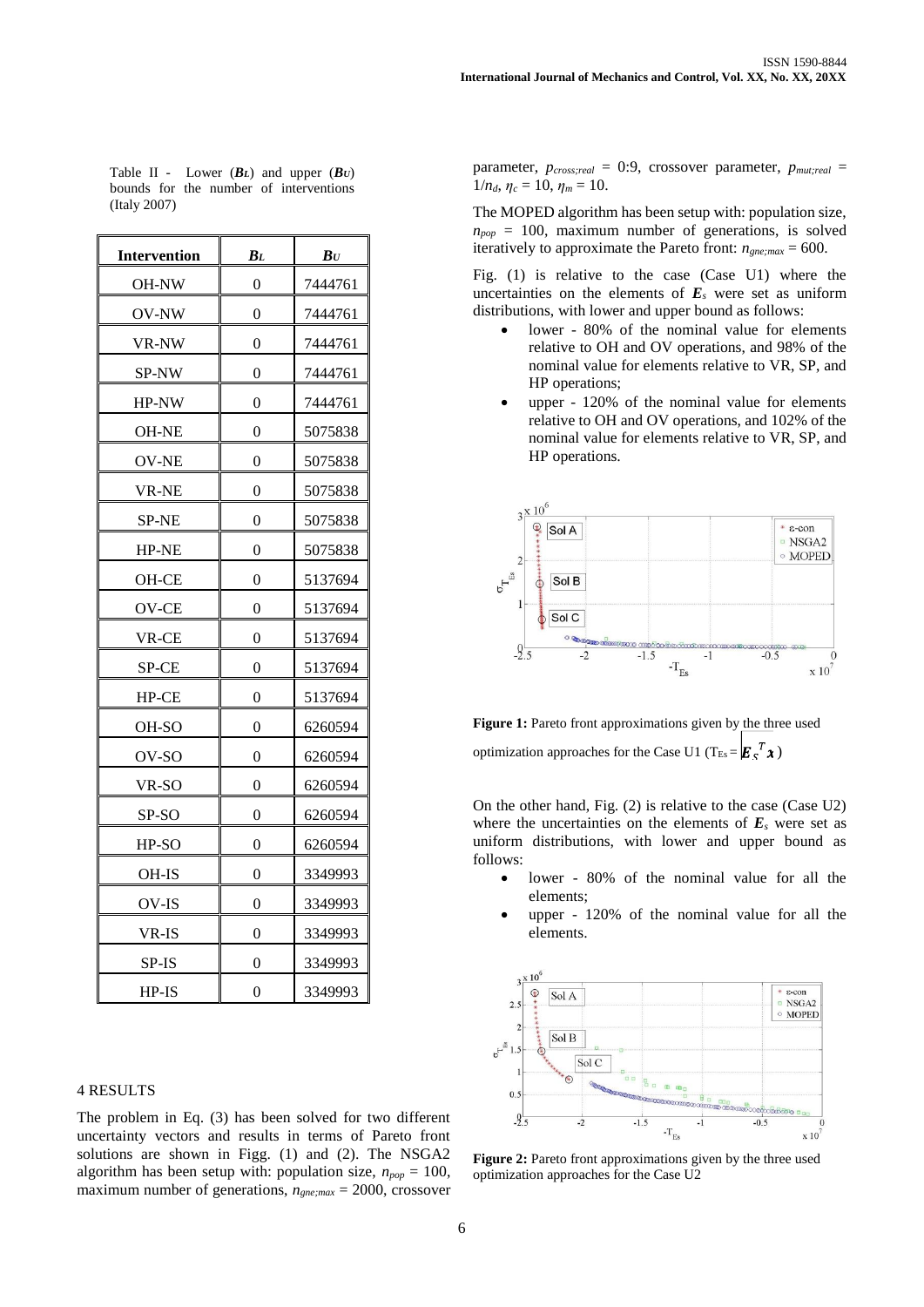| Table II - Lower $(B_L)$ and upper $(B_U)$ |  |  |  |
|--------------------------------------------|--|--|--|
| bounds for the number of interventions     |  |  |  |
| (Italy 2007)                               |  |  |  |

| <b>Intervention</b> | $B_L$            | $\bm{B} \bm{U}$ |  |
|---------------------|------------------|-----------------|--|
| OH-NW               | 0                | 7444761         |  |
| OV-NW               | $\theta$         | 7444761         |  |
| VR-NW               | 0                | 7444761         |  |
| SP-NW               | 0                | 7444761         |  |
| HP-NW               | 0                | 7444761         |  |
| OH-NE               | $\boldsymbol{0}$ | 5075838         |  |
| OV-NE               | 0                | 5075838         |  |
| <b>VR-NE</b>        | 0                | 5075838         |  |
| <b>SP-NE</b>        | $\overline{0}$   | 5075838         |  |
| HP-NE               | 0                | 5075838         |  |
| OH-CE               | $\boldsymbol{0}$ | 5137694         |  |
| OV-CE               | 0                | 5137694         |  |
| VR-CE               | 0                | 5137694         |  |
| SP-CE               | 0                | 5137694         |  |
| HP-CE               | 0                | 5137694         |  |
| OH-SO               | 0                | 6260594         |  |
| OV-SO               | 0                | 6260594         |  |
| VR-SO               | 0                | 6260594         |  |
| SP-SO               | $\overline{0}$   | 6260594         |  |
| HP-SO               | $\overline{0}$   | 6260594         |  |
| OH-IS               | 0                | 3349993         |  |
| OV-IS               | 0                | 3349993         |  |
| VR-IS               | 0                | 3349993         |  |
| SP-IS               | 0                | 3349993         |  |
| HP-IS               | $\overline{0}$   | 3349993         |  |

#### 4 RESULTS

The problem in Eq. (3) has been solved for two different uncertainty vectors and results in terms of Pareto front solutions are shown in Figg. (1) and (2). The NSGA2 algorithm has been setup with: population size,  $n_{pop} = 100$ , maximum number of generations, *ngne;max* = 2000, crossover parameter, *pcross;real* = 0:9, crossover parameter, *pmut;real* =  $1/n_d$ ,  $\eta_c = 10$ ,  $\eta_m = 10$ .

The MOPED algorithm has been setup with: population size,  $n_{pop}$  = 100, maximum number of generations, is solved iteratively to approximate the Pareto front:  $n_{\text{gne;max}} = 600$ .

Fig. (1) is relative to the case (Case U1) where the uncertainties on the elements of  $E<sub>s</sub>$  were set as uniform distributions, with lower and upper bound as follows:

- lower 80% of the nominal value for elements relative to OH and OV operations, and 98% of the nominal value for elements relative to VR, SP, and HP operations;
- upper 120% of the nominal value for elements relative to OH and OV operations, and 102% of the nominal value for elements relative to VR, SP, and HP operations.



**Figure 1:** Pareto front approximations given by the three used optimization approaches for the Case U1 (T<sub>Es</sub> =  $\mathbf{E} \cdot \mathbf{F}^T$   $\mathbf{\hat{x}}$ )

On the other hand, Fig. (2) is relative to the case (Case U2) where the uncertainties on the elements of  $E_s$  were set as uniform distributions, with lower and upper bound as follows:

- lower 80% of the nominal value for all the elements;
- upper 120% of the nominal value for all the elements.



**Figure 2:** Pareto front approximations given by the three used optimization approaches for the Case U2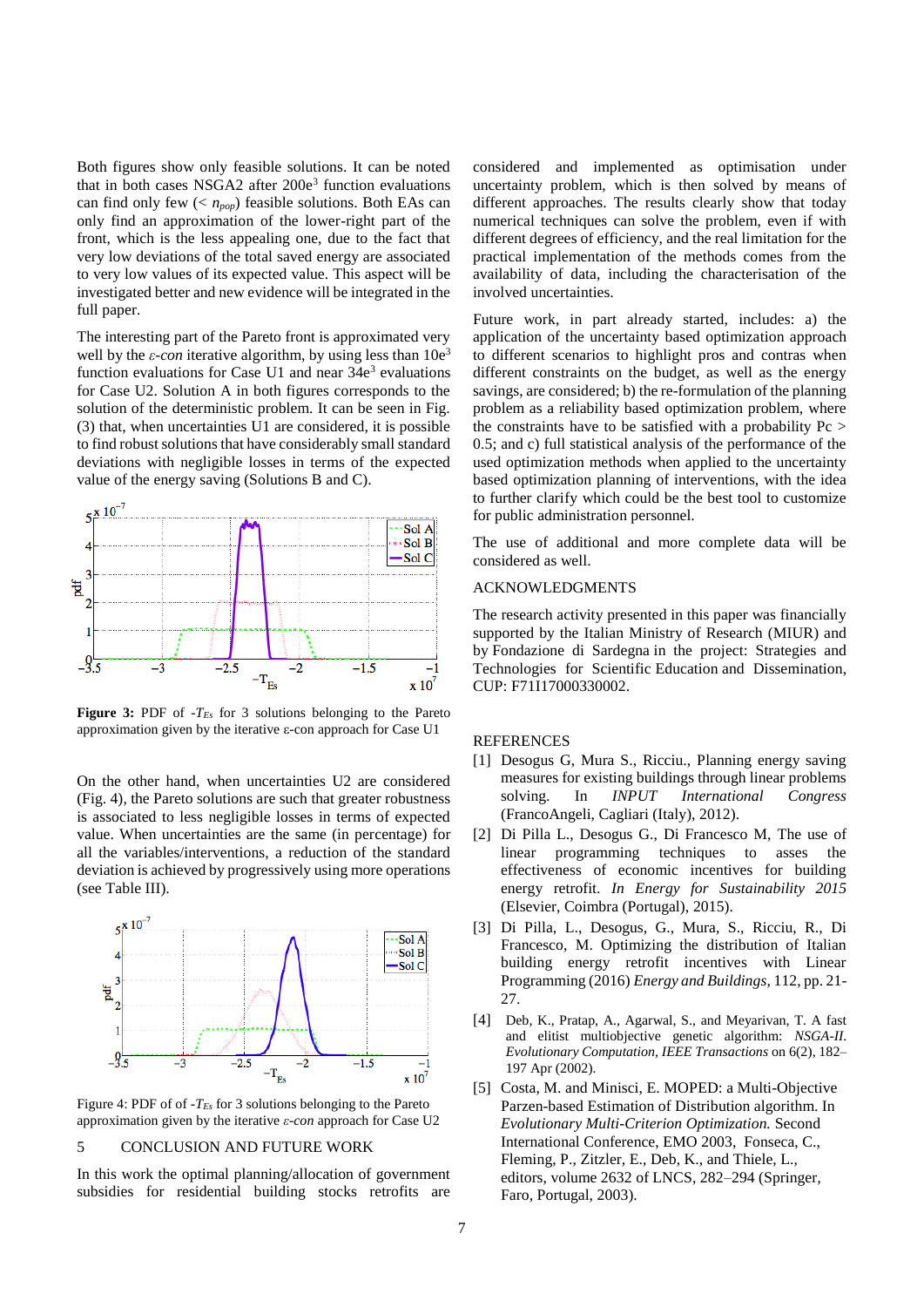Both figures show only feasible solutions. It can be noted that in both cases NSGA2 after  $200e<sup>3</sup>$  function evaluations can find only few (< *npop*) feasible solutions. Both EAs can only find an approximation of the lower-right part of the front, which is the less appealing one, due to the fact that very low deviations of the total saved energy are associated to very low values of its expected value. This aspect will be investigated better and new evidence will be integrated in the full paper.

The interesting part of the Pareto front is approximated very well by the  $\varepsilon$ -con iterative algorithm, by using less than  $10e^3$ function evaluations for Case U1 and near  $34e<sup>3</sup>$  evaluations for Case U2. Solution A in both figures corresponds to the solution of the deterministic problem. It can be seen in Fig. (3) that, when uncertainties U1 are considered, it is possible to find robust solutions that have considerably small standard deviations with negligible losses in terms of the expected value of the energy saving (Solutions B and C).



**Figure 3:** PDF of -*TEs* for 3 solutions belonging to the Pareto approximation given by the iterative ε-con approach for Case U1

On the other hand, when uncertainties U2 are considered (Fig. 4), the Pareto solutions are such that greater robustness is associated to less negligible losses in terms of expected value. When uncertainties are the same (in percentage) for all the variables/interventions, a reduction of the standard deviation is achieved by progressively using more operations (see Table III).



Figure 4: PDF of of -*TEs* for 3 solutions belonging to the Pareto approximation given by the iterative *ε-con* approach for Case U2

# 5 CONCLUSION AND FUTURE WORK

In this work the optimal planning/allocation of government subsidies for residential building stocks retrofits are considered and implemented as optimisation under uncertainty problem, which is then solved by means of different approaches. The results clearly show that today numerical techniques can solve the problem, even if with different degrees of efficiency, and the real limitation for the practical implementation of the methods comes from the availability of data, including the characterisation of the involved uncertainties.

Future work, in part already started, includes: a) the application of the uncertainty based optimization approach to different scenarios to highlight pros and contras when different constraints on the budget, as well as the energy savings, are considered; b) the re-formulation of the planning problem as a reliability based optimization problem, where the constraints have to be satisfied with a probability Pc > 0.5; and c) full statistical analysis of the performance of the used optimization methods when applied to the uncertainty based optimization planning of interventions, with the idea to further clarify which could be the best tool to customize for public administration personnel.

The use of additional and more complete data will be considered as well.

## ACKNOWLEDGMENTS

The research activity presented in this paper was financially supported by the Italian Ministry of Research (MIUR) and by Fondazione di Sardegna in the project: Strategies and Technologies for Scientific Education and Dissemination, CUP: F71I17000330002.

#### REFERENCES

- [1] Desogus G, Mura S., Ricciu., Planning energy saving measures for existing buildings through linear problems solving. In *INPUT International Congress* (FrancoAngeli, Cagliari (Italy), 2012).
- [2] Di Pilla L., Desogus G., Di Francesco M, The use of linear programming techniques to asses the effectiveness of economic incentives for building energy retrofit. *In Energy for Sustainability 2015* (Elsevier, Coimbra (Portugal), 2015).
- [3] Di Pilla, L., Desogus, G., Mura, S., Ricciu, R., Di Francesco, M. Optimizing the distribution of Italian building energy retrofit incentives with Linear Programming (2016) *Energy and Buildings*, 112, pp. 21- 27.
- [4] Deb, K., Pratap, A., Agarwal, S., and Meyarivan, T. A fast and elitist multiobjective genetic algorithm: *NSGA-II. Evolutionary Computation, IEEE Transactions* on 6(2), 182– 197 Apr (2002).
- [5] Costa, M. and Minisci, E. MOPED: a Multi-Objective Parzen-based Estimation of Distribution algorithm. In *Evolutionary Multi-Criterion Optimization.* Second International Conference, EMO 2003, Fonseca, C., Fleming, P., Zitzler, E., Deb, K., and Thiele, L., editors, volume 2632 of LNCS, 282–294 (Springer, Faro, Portugal, 2003).